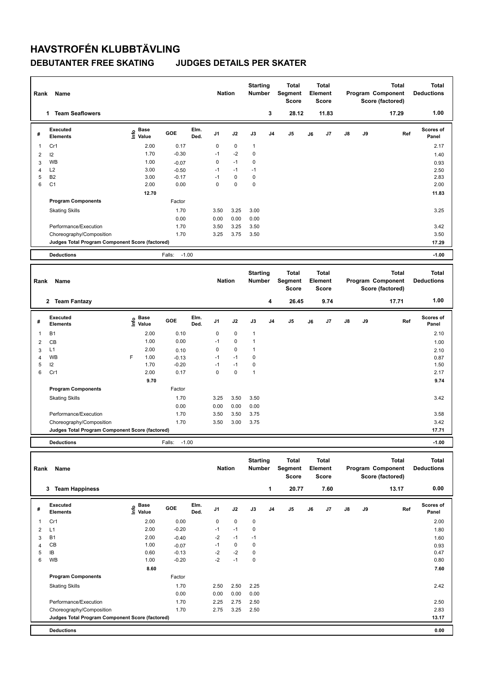## **HAVSTROFÉN KLUBBTÄVLING**

### **DEBUTANTER FREE SKATING JUDGES DETAILS PER SKATER**

| Rank           | Name                                            |                                  |         |              | <b>Nation</b> |             | <b>Starting</b><br><b>Number</b> |                | Total<br>Segment<br><b>Score</b> |    | Total<br>Element<br><b>Score</b> |    |    | <b>Total</b><br>Program Component<br>Score (factored) | <b>Total</b><br><b>Deductions</b> |
|----------------|-------------------------------------------------|----------------------------------|---------|--------------|---------------|-------------|----------------------------------|----------------|----------------------------------|----|----------------------------------|----|----|-------------------------------------------------------|-----------------------------------|
|                | 1 Team Seaflowers                               |                                  |         |              |               |             |                                  | 3              | 28.12                            |    | 11.83                            |    |    | 17.29                                                 | 1.00                              |
| #              | Executed<br><b>Elements</b>                     | <b>Base</b><br>e Base<br>E Value | GOE     | Elm.<br>Ded. | J1            | J2          | J3                               | J4             | J <sub>5</sub>                   | J6 | J7                               | J8 | J9 | Ref                                                   | Scores of<br>Panel                |
| 1              | Cr1                                             | 2.00                             | 0.17    |              | 0             | 0           | $\mathbf{1}$                     |                |                                  |    |                                  |    |    |                                                       | 2.17                              |
| $\overline{2}$ | 12                                              | 1.70                             | $-0.30$ |              | $-1$          | $-2$        | 0                                |                |                                  |    |                                  |    |    |                                                       | 1.40                              |
| 3              | WB                                              | 1.00                             | $-0.07$ |              | 0             | $-1$        | 0                                |                |                                  |    |                                  |    |    |                                                       | 0.93                              |
| $\overline{4}$ | L2                                              | 3.00                             | $-0.50$ |              | $-1$          | $-1$        | $-1$                             |                |                                  |    |                                  |    |    |                                                       | 2.50                              |
| 5              | B <sub>2</sub>                                  | 3.00                             | $-0.17$ |              | $-1$          | $\mathbf 0$ | $\mathbf 0$                      |                |                                  |    |                                  |    |    |                                                       | 2.83                              |
| 6              | C <sub>1</sub>                                  | 2.00                             | 0.00    |              | $\mathbf 0$   | $\mathbf 0$ | 0                                |                |                                  |    |                                  |    |    |                                                       | 2.00                              |
|                |                                                 | 12.70                            |         |              |               |             |                                  |                |                                  |    |                                  |    |    |                                                       | 11.83                             |
|                | <b>Program Components</b>                       |                                  | Factor  |              |               |             |                                  |                |                                  |    |                                  |    |    |                                                       |                                   |
|                | <b>Skating Skills</b>                           |                                  | 1.70    |              | 3.50          | 3.25        | 3.00                             |                |                                  |    |                                  |    |    |                                                       | 3.25                              |
|                |                                                 |                                  | 0.00    |              | 0.00          | 0.00        | 0.00                             |                |                                  |    |                                  |    |    |                                                       |                                   |
|                | Performance/Execution                           |                                  | 1.70    |              | 3.50          | 3.25        | 3.50                             |                |                                  |    |                                  |    |    |                                                       | 3.42                              |
|                | Choreography/Composition                        |                                  | 1.70    |              | 3.25          | 3.75        | 3.50                             |                |                                  |    |                                  |    |    |                                                       | 3.50                              |
|                | Judges Total Program Component Score (factored) |                                  |         |              |               |             |                                  |                |                                  |    |                                  |    |    |                                                       | 17.29                             |
|                | <b>Deductions</b>                               |                                  | Falls:  | $-1.00$      |               |             |                                  |                |                                  |    |                                  |    |    |                                                       | $-1.00$                           |
|                |                                                 |                                  |         |              |               |             |                                  |                |                                  |    |                                  |    |    |                                                       |                                   |
|                |                                                 |                                  |         |              |               |             |                                  |                |                                  |    |                                  |    |    |                                                       |                                   |
| Rank           | <b>Name</b>                                     |                                  |         |              | <b>Nation</b> |             | <b>Starting</b><br>Number        |                | <b>Total</b><br>Segment<br>Score |    | <b>Total</b><br>Element<br>Score |    |    | <b>Total</b><br>Program Component<br>Score (factored) | <b>Total</b><br><b>Deductions</b> |
|                |                                                 |                                  |         |              |               |             |                                  |                |                                  |    |                                  |    |    |                                                       | 1.00                              |
|                | 2 Team Fantazy                                  |                                  |         |              |               |             |                                  | 4              | 26.45                            |    | 9.74                             |    |    | 17.71                                                 |                                   |
| #              | <b>Executed</b><br><b>Elements</b>              | e Base<br>E Value                | GOE     | Elm.<br>Ded. | J1            | J2          | J3                               | J <sub>4</sub> | J <sub>5</sub>                   | J6 | J7                               | J8 | J9 | Ref                                                   | Scores of<br>Panel                |
| 1              | <b>B1</b>                                       | 2.00                             | 0.10    |              | 0             | 0           | $\mathbf{1}$                     |                |                                  |    |                                  |    |    |                                                       | 2.10                              |
| $\overline{2}$ | CB                                              | 1.00                             | 0.00    |              | $-1$          | 0           | $\mathbf{1}$                     |                |                                  |    |                                  |    |    |                                                       | 1.00                              |
| 3              | L1                                              | 2.00                             | 0.10    |              | $\mathbf 0$   | 0           | 1                                |                |                                  |    |                                  |    |    |                                                       | 2.10                              |
| 4              | <b>WB</b>                                       | F<br>1.00                        | $-0.13$ |              | $-1$          | $-1$        | 0                                |                |                                  |    |                                  |    |    |                                                       | 0.87                              |
| 5              | 12                                              | 1.70                             | $-0.20$ |              | $-1$          | $-1$        | $\mathbf 0$                      |                |                                  |    |                                  |    |    |                                                       | 1.50                              |
| 6              | Cr1                                             | 2.00                             | 0.17    |              | $\mathbf 0$   | $\mathbf 0$ | $\mathbf{1}$                     |                |                                  |    |                                  |    |    |                                                       | 2.17                              |
|                |                                                 | 9.70                             |         |              |               |             |                                  |                |                                  |    |                                  |    |    |                                                       | 9.74                              |
|                | <b>Program Components</b>                       |                                  | Factor  |              |               |             |                                  |                |                                  |    |                                  |    |    |                                                       |                                   |
|                | <b>Skating Skills</b>                           |                                  | 1.70    |              | 3.25          | 3.50        | 3.50                             |                |                                  |    |                                  |    |    |                                                       | 3.42                              |
|                |                                                 |                                  | 0.00    |              | 0.00          | 0.00        | 0.00                             |                |                                  |    |                                  |    |    |                                                       |                                   |
|                | Performance/Execution                           |                                  | 1.70    |              | 3.50          | 3.50        | 3.75                             |                |                                  |    |                                  |    |    |                                                       | 3.58                              |
|                | Choreography/Composition                        |                                  | 1.70    |              | 3.50          | 3.00        | 3.75                             |                |                                  |    |                                  |    |    |                                                       | 3.42                              |
|                | Judges Total Program Component Score (factored) |                                  |         |              |               |             |                                  |                |                                  |    |                                  |    |    |                                                       | 17.71                             |

**Total Deductions Total Program Component Score (factored) Total Element Segment Score Total Score Starting Rank Name Nation Number # Executed Elements Base Info Value GOE J1 J2 J3 J4 J5 J6 J7 J8 J9 Scores of Panel** 1 2.00 0.00 0 0 0 **Ref**  2.00 **Elm. Ded.**  Cr1  **3 Team Happiness 1 20.77 7.60 13.17 0.00** 2 L1 2.00 -0.20 -1 -1 0 1.80  $3$  B1 2.00  $-0.40$   $-2$   $-1$   $-1$ 4 CB 1.00 -0.07 -1 0 0 5 IB 0.60 -0.13 -2 -2 0 0.47 6 WB 1.00 -0.20 -2 -1 0 0.80  **8.60 7.60 Program Components**  Skating Skills 2.50 2.50 2.25 Factor 1.70 2.42 0.00 0.00 0.00 0.00 Performance/Execution 1.70 2.25 2.75 2.50 2.50 Choreography/Composition 1.70 2.75 3.25 2.50 2.83 2.50 2.83 **Deductions 0.00 Judges Total Program Component Score (factored) 13.17**